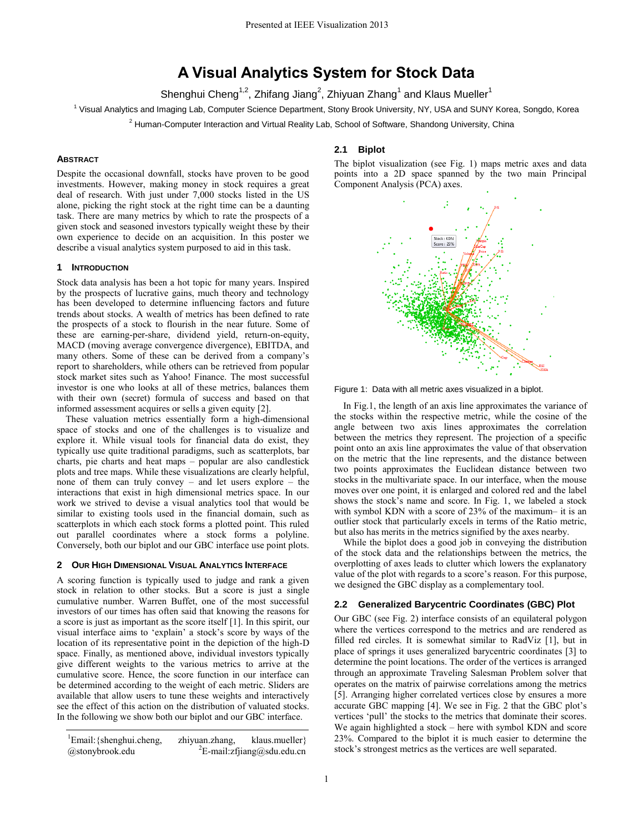# **A Visual Analytics System for Stock Data**

Shenghui Cheng<sup>1,2</sup>, Zhifang Jiang<sup>2</sup>, Zhiyuan Zhang<sup>1</sup> and Klaus Mueller<sup>1</sup>

<sup>1</sup> Visual Analytics and Imaging Lab, Computer Science Department, Stony Brook University, NY, USA and SUNY Korea, Songdo, Korea

<sup>2</sup> Human-Computer Interaction and Virtual Reality Lab, School of Software, Shandong University, China

## **ABSTRACT**

Despite the occasional downfall, stocks have proven to be good investments. However, making money in stock requires a great deal of research. With just under 7,000 stocks listed in the US alone, picking the right stock at the right time can be a daunting task. There are many metrics by which to rate the prospects of a given stock and seasoned investors typically weight these by their own experience to decide on an acquisition. In this poster we describe a visual analytics system purposed to aid in this task.

#### **1 INTRODUCTION**

Stock data analysis has been a hot topic for many years. Inspired by the prospects of lucrative gains, much theory and technology has been developed to determine influencing factors and future trends about stocks. A wealth of metrics has been defined to rate the prospects of a stock to flourish in the near future. Some of these are earning-per-share, dividend yield, return-on-equity, MACD (moving average convergence divergence), EBITDA, and many others. Some of these can be derived from a company's report to shareholders, while others can be retrieved from popular stock market sites such as Yahoo! Finance. The most successful investor is one who looks at all of these metrics, balances them with their own (secret) formula of success and based on that informed assessment acquires or sells a given equity [\[2\].](#page-1-0) 

These valuation metrics essentially form a high-dimensional space of stocks and one of the challenges is to visualize and explore it. While visual tools for financial data do exist, they typically use quite traditional paradigms, such as scatterplots, bar charts, pie charts and heat maps – popular are also candlestick plots and tree maps. While these visualizations are clearly helpful, none of them can truly convey – and let users explore – the interactions that exist in high dimensional metrics space. In our work we strived to devise a visual analytics tool that would be similar to existing tools used in the financial domain, such as scatterplots in which each stock forms a plotted point. This ruled out parallel coordinates where a stock forms a polyline. Conversely, both our biplot and our GBC interface use point plots.

## **2 OUR HIGH DIMENSIONAL VISUAL ANALYTICS INTERFACE**

A scoring function is typically used to judge and rank a given stock in relation to other stocks. But a score is just a single cumulative number. Warren Buffet, one of the most successful investors of our times has often said that knowing the reasons for a score is just as important as the score itself [\[1\].](#page-1-1) In this spirit, our visual interface aims to 'explain' a stock's score by ways of the location of its representative point in the depiction of the high-D space. Finally, as mentioned above, individual investors typically give different weights to the various metrics to arrive at the cumulative score. Hence, the score function in our interface can be determined according to the weight of each metric. Sliders are available that allow users to tune these weights and interactively see the effect of this action on the distribution of valuated stocks. In the following we show both our biplot and our GBC interface.

 $\text{1Email:} \{ \text{shenghui.cheng}, \text{zhiyuan.zhang}, \text{klaus.mueller} \}$ @stonybrook.edu  ${}^{2}E$ -mail:zfjiang@sdu.edu.cn

## **2.1 Biplot**

The biplot visualization (see Fig. 1) maps metric axes and data points into a 2D space spanned by the two main Principal Component Analysis (PCA) axes.



Figure 1: Data with all metric axes visualized in a biplot.

In Fig.1, the length of an axis line approximates the variance of the stocks within the respective metric, while the cosine of the angle between two axis lines approximates the correlation between the metrics they represent. The projection of a specific point onto an axis line approximates the value of that observation on the metric that the line represents, and the distance between two points approximates the Euclidean distance between two stocks in the multivariate space. In our interface, when the mouse moves over one point, it is enlarged and colored red and the label shows the stock's name and score. In Fig. 1, we labeled a stock with symbol KDN with a score of 23% of the maximum– it is an outlier stock that particularly excels in terms of the Ratio metric, but also has merits in the metrics signified by the axes nearby.

While the biplot does a good job in conveying the distribution of the stock data and the relationships between the metrics, the overplotting of axes leads to clutter which lowers the explanatory value of the plot with regards to a score's reason. For this purpose, we designed the GBC display as a complementary tool.

#### **2.2 Generalized Barycentric Coordinates (GBC) Plot**

Our GBC (see Fig. 2) interface consists of an equilateral polygon where the vertices correspond to the metrics and are rendered as filled red circles. It is somewhat similar to RadViz [\[1\],](#page-1-1) but in place of springs it uses generalized barycentric coordinates [\[3\]](#page-1-2) to determine the point locations. The order of the vertices is arranged through an approximate Traveling Salesman Problem solver that operates on the matrix of pairwise correlations among the metrics [\[5\].](#page-1-3) Arranging higher correlated vertices close by ensures a more accurate GBC mapping [\[4\].](#page-1-4) We see in Fig. 2 that the GBC plot's vertices 'pull' the stocks to the metrics that dominate their scores. We again highlighted a stock – here with symbol KDN and score 23%. Compared to the biplot it is much easier to determine the stock's strongest metrics as the vertices are well separated.